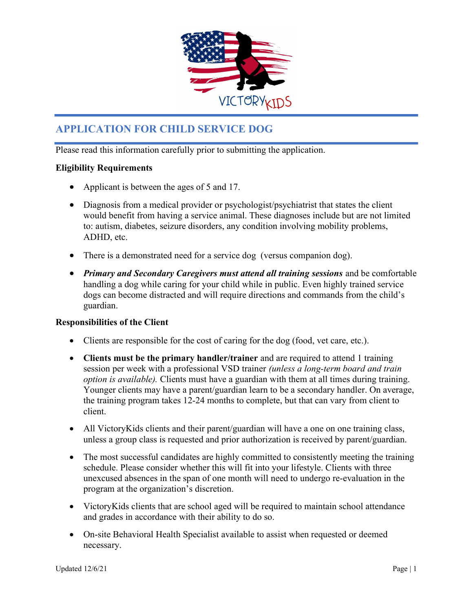

# APPLICATION FOR CHILD SERVICE DOG

Please read this information carefully prior to submitting the application.

## Eligibility Requirements

- Applicant is between the ages of 5 and 17.
- Diagnosis from a medical provider or psychologist/psychiatrist that states the client would benefit from having a service animal. These diagnoses include but are not limited to: autism, diabetes, seizure disorders, any condition involving mobility problems, ADHD, etc.
- There is a demonstrated need for a service dog (versus companion dog).
- Primary and Secondary Caregivers must attend all training sessions and be comfortable handling a dog while caring for your child while in public. Even highly trained service dogs can become distracted and will require directions and commands from the child's guardian.

### Responsibilities of the Client

- Clients are responsible for the cost of caring for the dog (food, vet care, etc.).
- Clients must be the primary handler/trainer and are required to attend 1 training session per week with a professional VSD trainer *(unless a long-term board and train* option is available). Clients must have a guardian with them at all times during training. Younger clients may have a parent/guardian learn to be a secondary handler. On average, the training program takes 12-24 months to complete, but that can vary from client to client.
- All Victory Kids clients and their parent/guardian will have a one on one training class, unless a group class is requested and prior authorization is received by parent/guardian.
- The most successful candidates are highly committed to consistently meeting the training schedule. Please consider whether this will fit into your lifestyle. Clients with three unexcused absences in the span of one month will need to undergo re-evaluation in the program at the organization's discretion.
- Victory Kids clients that are school aged will be required to maintain school attendance and grades in accordance with their ability to do so.
- On-site Behavioral Health Specialist available to assist when requested or deemed necessary.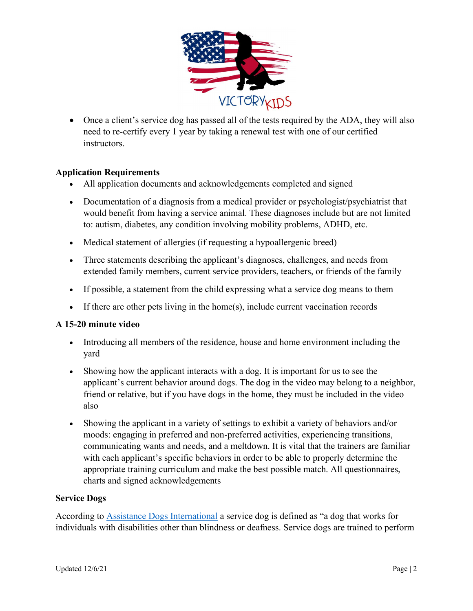

 Once a client's service dog has passed all of the tests required by the ADA, they will also need to re-certify every 1 year by taking a renewal test with one of our certified instructors.

## Application Requirements

- All application documents and acknowledgements completed and signed
- Documentation of a diagnosis from a medical provider or psychologist/psychiatrist that would benefit from having a service animal. These diagnoses include but are not limited to: autism, diabetes, any condition involving mobility problems, ADHD, etc.
- Medical statement of allergies (if requesting a hypoallergenic breed)
- Three statements describing the applicant's diagnoses, challenges, and needs from extended family members, current service providers, teachers, or friends of the family
- If possible, a statement from the child expressing what a service dog means to them
- If there are other pets living in the home(s), include current vaccination records

### A 15-20 minute video

- Introducing all members of the residence, house and home environment including the yard
- Showing how the applicant interacts with a dog. It is important for us to see the applicant's current behavior around dogs. The dog in the video may belong to a neighbor, friend or relative, but if you have dogs in the home, they must be included in the video also
- Showing the applicant in a variety of settings to exhibit a variety of behaviors and/or moods: engaging in preferred and non-preferred activities, experiencing transitions, communicating wants and needs, and a meltdown. It is vital that the trainers are familiar with each applicant's specific behaviors in order to be able to properly determine the appropriate training curriculum and make the best possible match. All questionnaires, charts and signed acknowledgements

### Service Dogs

According to Assistance Dogs International a service dog is defined as "a dog that works for individuals with disabilities other than blindness or deafness. Service dogs are trained to perform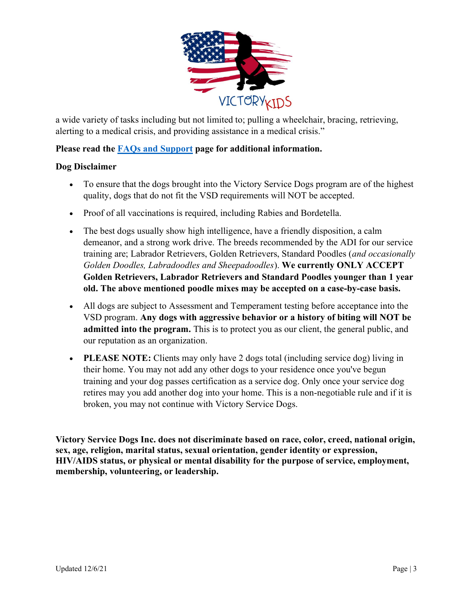

a wide variety of tasks including but not limited to; pulling a wheelchair, bracing, retrieving, alerting to a medical crisis, and providing assistance in a medical crisis."

## Please read the FAQs and Support page for additional information.

### Dog Disclaimer

- To ensure that the dogs brought into the Victory Service Dogs program are of the highest quality, dogs that do not fit the VSD requirements will NOT be accepted.
- Proof of all vaccinations is required, including Rabies and Bordetella.
- The best dogs usually show high intelligence, have a friendly disposition, a calm demeanor, and a strong work drive. The breeds recommended by the ADI for our service training are; Labrador Retrievers, Golden Retrievers, Standard Poodles (and occasionally Golden Doodles, Labradoodles and Sheepadoodles). We currently ONLY ACCEPT Golden Retrievers, Labrador Retrievers and Standard Poodles younger than 1 year old. The above mentioned poodle mixes may be accepted on a case-by-case basis.
- All dogs are subject to Assessment and Temperament testing before acceptance into the VSD program. Any dogs with aggressive behavior or a history of biting will NOT be admitted into the program. This is to protect you as our client, the general public, and our reputation as an organization.
- PLEASE NOTE: Clients may only have 2 dogs total (including service dog) living in their home. You may not add any other dogs to your residence once you've begun training and your dog passes certification as a service dog. Only once your service dog retires may you add another dog into your home. This is a non-negotiable rule and if it is broken, you may not continue with Victory Service Dogs.

Victory Service Dogs Inc. does not discriminate based on race, color, creed, national origin, sex, age, religion, marital status, sexual orientation, gender identity or expression, HIV/AIDS status, or physical or mental disability for the purpose of service, employment, membership, volunteering, or leadership.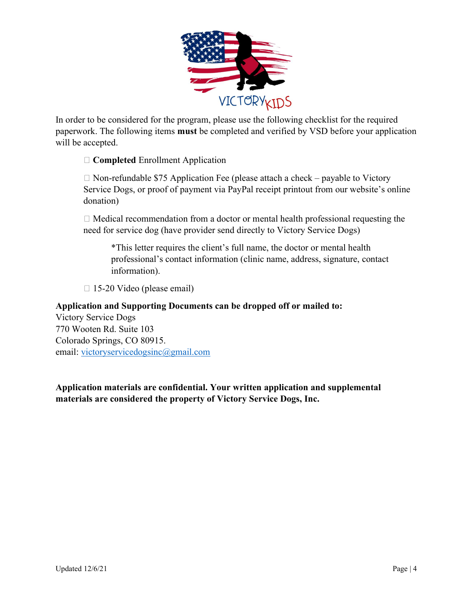

In order to be considered for the program, please use the following checklist for the required paperwork. The following items must be completed and verified by VSD before your application will be accepted.

 $\Box$  Completed Enrollment Application

 $\Box$  Non-refundable \$75 Application Fee (please attach a check – payable to Victory Service Dogs, or proof of payment via PayPal receipt printout from our website's online donation)

 $\Box$  Medical recommendation from a doctor or mental health professional requesting the need for service dog (have provider send directly to Victory Service Dogs)

\*This letter requires the client's full name, the doctor or mental health professional's contact information (clinic name, address, signature, contact information).

□ 15-20 Video (please email)

## Application and Supporting Documents can be dropped off or mailed to:

Victory Service Dogs 770 Wooten Rd. Suite 103 Colorado Springs, CO 80915. email: victoryservicedogsinc@gmail.com

Application materials are confidential. Your written application and supplemental materials are considered the property of Victory Service Dogs, Inc.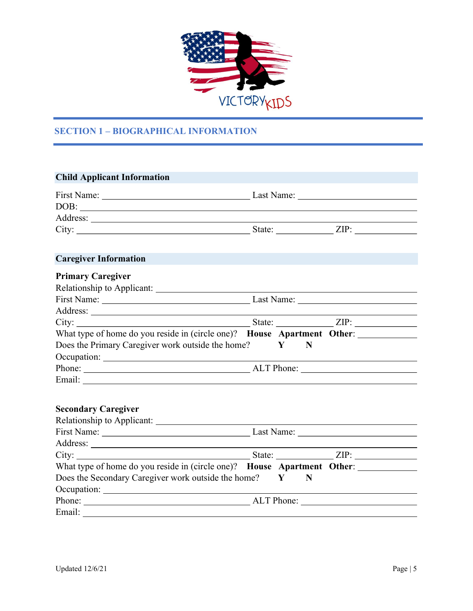

## SECTION 1 – BIOGRAPHICAL INFORMATION

| <b>Child Applicant Information</b>                                                                                                                                                                                                   |                   |  |
|--------------------------------------------------------------------------------------------------------------------------------------------------------------------------------------------------------------------------------------|-------------------|--|
|                                                                                                                                                                                                                                      |                   |  |
|                                                                                                                                                                                                                                      |                   |  |
|                                                                                                                                                                                                                                      |                   |  |
|                                                                                                                                                                                                                                      |                   |  |
| <b>Caregiver Information</b>                                                                                                                                                                                                         |                   |  |
| <b>Primary Caregiver</b>                                                                                                                                                                                                             |                   |  |
|                                                                                                                                                                                                                                      |                   |  |
|                                                                                                                                                                                                                                      |                   |  |
|                                                                                                                                                                                                                                      |                   |  |
|                                                                                                                                                                                                                                      |                   |  |
| What type of home do you reside in (circle one)? House Apartment Other: _________                                                                                                                                                    |                   |  |
| Does the Primary Caregiver work outside the home?                                                                                                                                                                                    | $\mathbf{Y}$<br>N |  |
|                                                                                                                                                                                                                                      |                   |  |
|                                                                                                                                                                                                                                      |                   |  |
| Email: Note a service a service of the service of the service of the service of the service of the service of the service of the service of the service of the service of the service of the service of the service of the ser       |                   |  |
| <b>Secondary Caregiver</b>                                                                                                                                                                                                           |                   |  |
|                                                                                                                                                                                                                                      |                   |  |
| Address: <u>example and the contract of the contract of the contract of the contract of the contract of the contract of the contract of the contract of the contract of the contract of the contract of the contract of the cont</u> |                   |  |
|                                                                                                                                                                                                                                      |                   |  |
| What type of home do you reside in (circle one)? House Apartment Other:                                                                                                                                                              |                   |  |
| Does the Secondary Caregiver work outside the home? Y                                                                                                                                                                                | N                 |  |
| Occupation:                                                                                                                                                                                                                          |                   |  |
|                                                                                                                                                                                                                                      |                   |  |
|                                                                                                                                                                                                                                      |                   |  |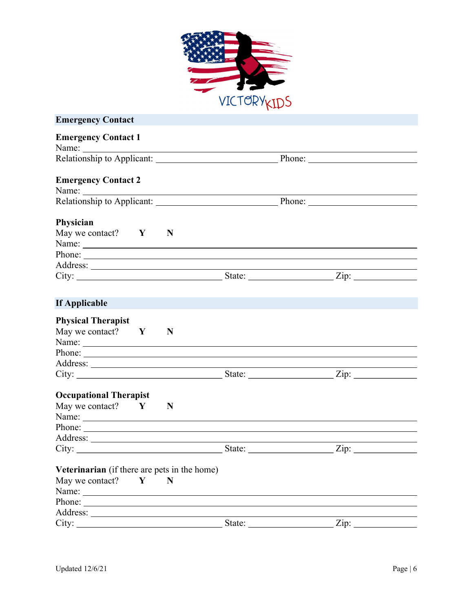

| <b>Emergency Contact</b>                                                         |  |
|----------------------------------------------------------------------------------|--|
| <b>Emergency Contact 1</b>                                                       |  |
|                                                                                  |  |
| <b>Emergency Contact 2</b>                                                       |  |
|                                                                                  |  |
|                                                                                  |  |
| Physician                                                                        |  |
| May we contact? $Y \t N$                                                         |  |
|                                                                                  |  |
|                                                                                  |  |
|                                                                                  |  |
| City: $\frac{1}{\sqrt{2}}$ State: $\frac{1}{\sqrt{2}}$ Zip: $\frac{1}{\sqrt{2}}$ |  |
|                                                                                  |  |
| If Applicable                                                                    |  |
| <b>Physical Therapist</b>                                                        |  |
| May we contact? $Y$<br>N                                                         |  |
|                                                                                  |  |
|                                                                                  |  |
|                                                                                  |  |
| City: <u>City:</u> State: <u>State:</u> City:                                    |  |
|                                                                                  |  |
| <b>Occupational Therapist</b>                                                    |  |
| May we contact? $Y$<br>N                                                         |  |
|                                                                                  |  |
| Phone:                                                                           |  |
| Address: <u>New York: Address:</u>                                               |  |
| City: <u>City:</u> State: <u>City:</u> State: <u>City:</u> City:                 |  |
| Veterinarian (if there are pets in the home)                                     |  |
| May we contact?<br>Y<br>N                                                        |  |
| Name: Name:                                                                      |  |
| Phone:                                                                           |  |
|                                                                                  |  |
|                                                                                  |  |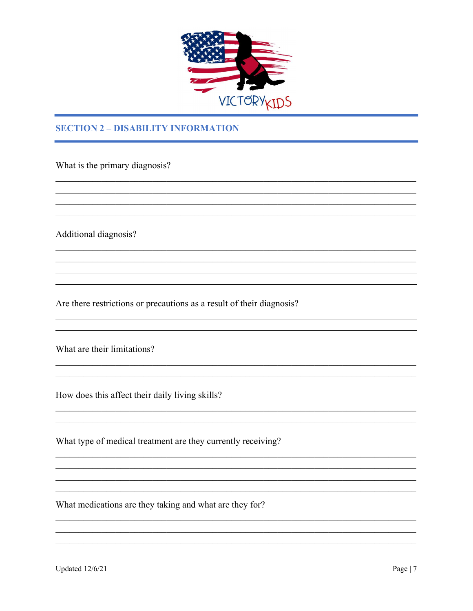

<u> 1989 - Johann John Stein, marwolaethau (b. 1989)</u>

## **SECTION 2 - DISABILITY INFORMATION**

What is the primary diagnosis?

Additional diagnosis?

Are there restrictions or precautions as a result of their diagnosis?

What are their limitations?

How does this affect their daily living skills?

What type of medical treatment are they currently receiving?

What medications are they taking and what are they for?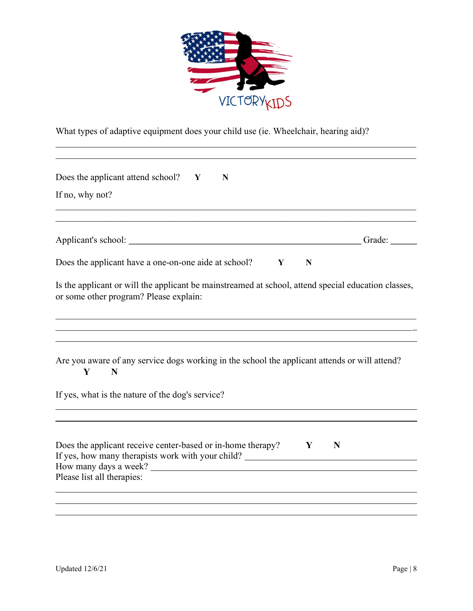

What types of adaptive equipment does your child use (ie. Wheelchair, hearing aid)?

| Does the applicant attend school? $Y$<br>N                                                                                                                                   |
|------------------------------------------------------------------------------------------------------------------------------------------------------------------------------|
| If no, why not?                                                                                                                                                              |
|                                                                                                                                                                              |
|                                                                                                                                                                              |
| Does the applicant have a one-on-one aide at school? $Y$<br>N                                                                                                                |
| Is the applicant or will the applicant be mainstreamed at school, attend special education classes,<br>or some other program? Please explain:                                |
|                                                                                                                                                                              |
|                                                                                                                                                                              |
| Are you aware of any service dogs working in the school the applicant attends or will attend?<br>Y<br>N                                                                      |
| If yes, what is the nature of the dog's service?                                                                                                                             |
|                                                                                                                                                                              |
| Does the applicant receive center-based or in-home therapy? $\mathbf{Y}$<br>$\mathbf N$<br>If yes, how many therapists work with your child? _______________________________ |
| How many days a week?                                                                                                                                                        |
| Please list all therapies:                                                                                                                                                   |
|                                                                                                                                                                              |
|                                                                                                                                                                              |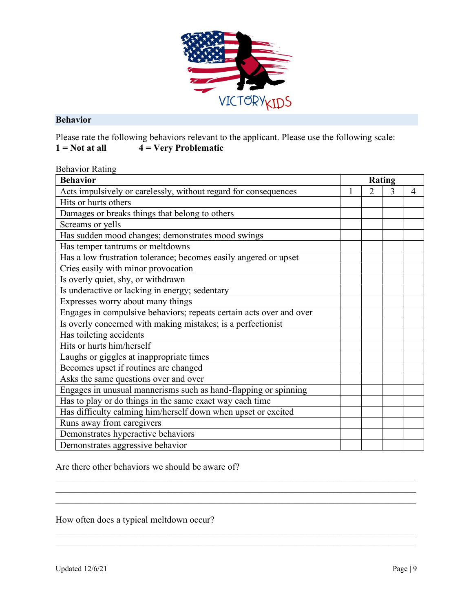

#### Behavior

Please rate the following behaviors relevant to the applicant. Please use the following scale:  $1 = Not$  at all  $4 = Very$  Problematic

| <b>Behavior Rating</b> |  |
|------------------------|--|
|------------------------|--|

| <b>Behavior</b>                                                     |                | Rating |   |
|---------------------------------------------------------------------|----------------|--------|---|
| Acts impulsively or carelessly, without regard for consequences     | $\overline{2}$ | 3      | 4 |
| Hits or hurts others                                                |                |        |   |
| Damages or breaks things that belong to others                      |                |        |   |
| Screams or yells                                                    |                |        |   |
| Has sudden mood changes; demonstrates mood swings                   |                |        |   |
| Has temper tantrums or meltdowns                                    |                |        |   |
| Has a low frustration tolerance; becomes easily angered or upset    |                |        |   |
| Cries easily with minor provocation                                 |                |        |   |
| Is overly quiet, shy, or withdrawn                                  |                |        |   |
| Is underactive or lacking in energy; sedentary                      |                |        |   |
| Expresses worry about many things                                   |                |        |   |
| Engages in compulsive behaviors; repeats certain acts over and over |                |        |   |
| Is overly concerned with making mistakes; is a perfectionist        |                |        |   |
| Has toileting accidents                                             |                |        |   |
| Hits or hurts him/herself                                           |                |        |   |
| Laughs or giggles at inappropriate times                            |                |        |   |
| Becomes upset if routines are changed                               |                |        |   |
| Asks the same questions over and over                               |                |        |   |
| Engages in unusual mannerisms such as hand-flapping or spinning     |                |        |   |
| Has to play or do things in the same exact way each time            |                |        |   |
| Has difficulty calming him/herself down when upset or excited       |                |        |   |
| Runs away from caregivers                                           |                |        |   |
| Demonstrates hyperactive behaviors                                  |                |        |   |
| Demonstrates aggressive behavior                                    |                |        |   |

Are there other behaviors we should be aware of?

How often does a typical meltdown occur?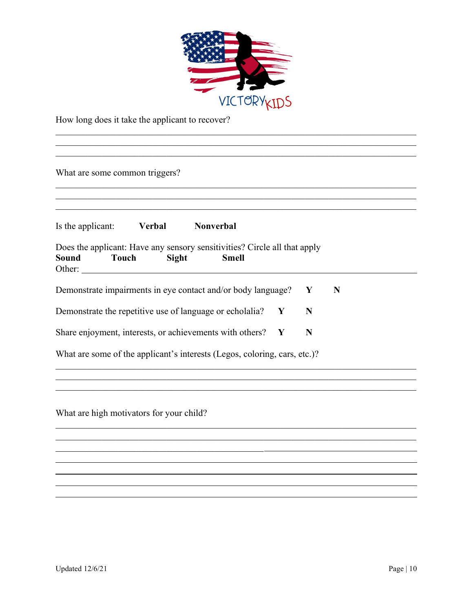

How long does it take the applicant to recover?

| What are some common triggers? |                       |                                                                                           |   |   |   |  |
|--------------------------------|-----------------------|-------------------------------------------------------------------------------------------|---|---|---|--|
| Is the applicant:              | <b>Verbal</b>         | Nonverbal                                                                                 |   |   |   |  |
| Sound<br>Other:                | Sight<br><b>Touch</b> | Does the applicant: Have any sensory sensitivities? Circle all that apply<br><b>Smell</b> |   |   |   |  |
|                                |                       | Demonstrate impairments in eye contact and/or body language?                              |   | Y | N |  |
|                                |                       | Demonstrate the repetitive use of language or echolalia?                                  | Y | N |   |  |
|                                |                       | Share enjoyment, interests, or achievements with others? Y                                |   | N |   |  |
|                                |                       |                                                                                           |   |   |   |  |

What are high motivators for your child?

 $\mathcal{L}_\text{max}$  and  $\mathcal{L}_\text{max}$  and  $\mathcal{L}_\text{max}$  and  $\mathcal{L}_\text{max}$ 

 $\overline{a}$ 

l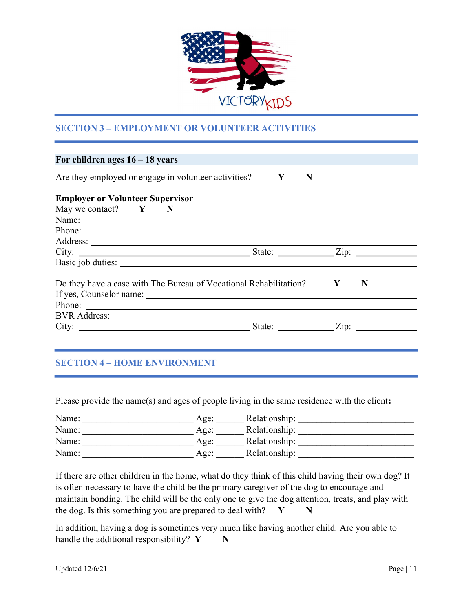

## SECTION 3 – EMPLOYMENT OR VOLUNTEER ACTIVITIES

| For children ages $16 - 18$ years                                   |   |                               |
|---------------------------------------------------------------------|---|-------------------------------|
| Are they employed or engage in volunteer activities? $\mathbf{Y}$   | N |                               |
| <b>Employer or Volunteer Supervisor</b>                             |   |                               |
| May we contact? $Y \t N$                                            |   |                               |
|                                                                     |   |                               |
| Phone:                                                              |   |                               |
|                                                                     |   |                               |
|                                                                     |   |                               |
|                                                                     |   |                               |
| Do they have a case with The Bureau of Vocational Rehabilitation? Y |   | N                             |
|                                                                     |   |                               |
| Phone:                                                              |   |                               |
|                                                                     |   |                               |
|                                                                     |   | State: $\angle$ Zip: $\angle$ |
|                                                                     |   |                               |

## SECTION 4 – HOME ENVIRONMENT

Please provide the name(s) and ages of people living in the same residence with the client:

| Name: | Age:    | Relationship: |
|-------|---------|---------------|
| Name: | Age:    | Relationship: |
| Name: | Age:    | Relationship: |
| Name: | $A$ ge: | Relationship: |

If there are other children in the home, what do they think of this child having their own dog? It is often necessary to have the child be the primary caregiver of the dog to encourage and maintain bonding. The child will be the only one to give the dog attention, treats, and play with the dog. Is this something you are prepared to deal with?  $Y \t N$ 

In addition, having a dog is sometimes very much like having another child. Are you able to handle the additional responsibility?  $Y \t N$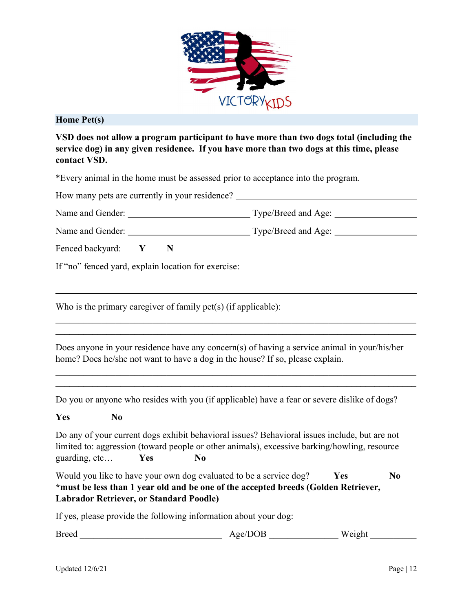

#### Home Pet(s)

l l

VSD does not allow a program participant to have more than two dogs total (including the service dog) in any given residence. If you have more than two dogs at this time, please contact VSD.

\*Every animal in the home must be assessed prior to acceptance into the program.

| How many pets are currently in your residence? |  |                            |
|------------------------------------------------|--|----------------------------|
| Name and Gender:                               |  | Type/Breed and Age:        |
| Name and Gender:                               |  | Type/Breed and Age: ______ |
| Fenced backyard:                               |  |                            |

If "no" fenced yard, explain location for exercise:

Who is the primary caregiver of family pet(s) (if applicable):

Does anyone in your residence have any concern(s) of having a service animal in your/his/her home? Does he/she not want to have a dog in the house? If so, please explain.

 $\mathcal{L}_\mathcal{L} = \{ \mathcal{L}_\mathcal{L} = \{ \mathcal{L}_\mathcal{L} = \{ \mathcal{L}_\mathcal{L} = \{ \mathcal{L}_\mathcal{L} = \{ \mathcal{L}_\mathcal{L} = \{ \mathcal{L}_\mathcal{L} = \{ \mathcal{L}_\mathcal{L} = \{ \mathcal{L}_\mathcal{L} = \{ \mathcal{L}_\mathcal{L} = \{ \mathcal{L}_\mathcal{L} = \{ \mathcal{L}_\mathcal{L} = \{ \mathcal{L}_\mathcal{L} = \{ \mathcal{L}_\mathcal{L} = \{ \mathcal{L}_\mathcal{$ 

 $\mathcal{L}_\mathcal{L} = \mathcal{L}_\mathcal{L} = \mathcal{L}_\mathcal{L} = \mathcal{L}_\mathcal{L} = \mathcal{L}_\mathcal{L} = \mathcal{L}_\mathcal{L} = \mathcal{L}_\mathcal{L} = \mathcal{L}_\mathcal{L} = \mathcal{L}_\mathcal{L} = \mathcal{L}_\mathcal{L} = \mathcal{L}_\mathcal{L} = \mathcal{L}_\mathcal{L} = \mathcal{L}_\mathcal{L} = \mathcal{L}_\mathcal{L} = \mathcal{L}_\mathcal{L} = \mathcal{L}_\mathcal{L} = \mathcal{L}_\mathcal{L}$  $\_$ 

Do you or anyone who resides with you (if applicable) have a fear or severe dislike of dogs?

### Yes No

Do any of your current dogs exhibit behavioral issues? Behavioral issues include, but are not limited to: aggression (toward people or other animals), excessive barking/howling, resource guarding, etc... Yes No

Would you like to have your own dog evaluated to be a service dog?  $Yes$  No \*must be less than 1 year old and be one of the accepted breeds (Golden Retriever, Labrador Retriever, or Standard Poodle)

If yes, please provide the following information about your dog:

| <b>Breed</b> | Age/DOB | eight<br>W |
|--------------|---------|------------|
|--------------|---------|------------|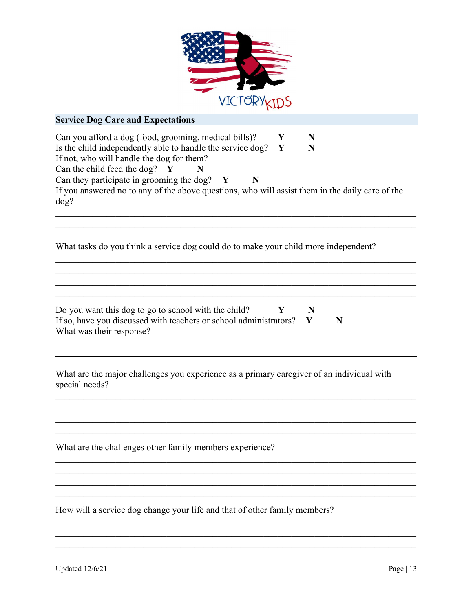

| ATC I OK IKIDS                                                                                                                                                                                                               |
|------------------------------------------------------------------------------------------------------------------------------------------------------------------------------------------------------------------------------|
| <b>Service Dog Care and Expectations</b>                                                                                                                                                                                     |
| Can you afford a dog (food, grooming, medical bills)?<br>Y<br>N<br>Is the child independently able to handle the service dog?<br>Y<br>N<br>If not, who will handle the dog for them?<br>Can the child feed the dog? $Y$<br>N |
| Can they participate in grooming the dog?<br>$\mathbf{Y}$<br>N<br>If you answered no to any of the above questions, who will assist them in the daily care of the<br>dog?                                                    |
| What tasks do you think a service dog could do to make your child more independent?                                                                                                                                          |
| Do you want this dog to go to school with the child?<br>Y<br>N<br>If so, have you discussed with teachers or school administrators?<br>N<br>Y<br>What was their response?                                                    |
| What are the major challenges you experience as a primary caregiver of an individual with<br>special needs?                                                                                                                  |
| What are the challenges other family members experience?                                                                                                                                                                     |
|                                                                                                                                                                                                                              |

How will a service dog change your life and that of other family members?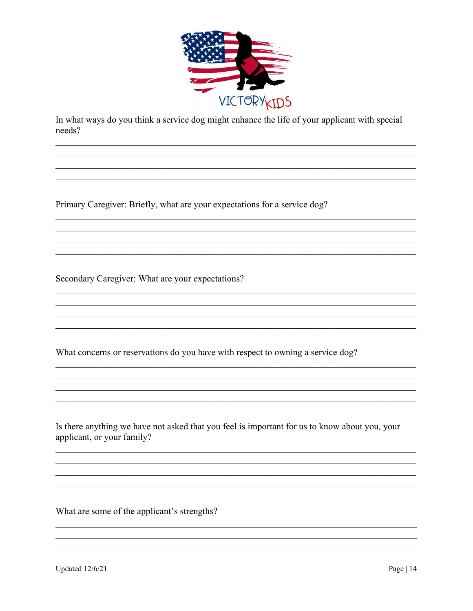

In what ways do you think a service dog might enhance the life of your applicant with special needs?

<u> 1989 - Johann Stoff, amerikansk politiker (d. 1989)</u>

Primary Caregiver: Briefly, what are your expectations for a service dog?

Secondary Caregiver: What are your expectations?

What concerns or reservations do you have with respect to owning a service dog?

Is there anything we have not asked that you feel is important for us to know about you, your applicant, or your family?

What are some of the applicant's strengths?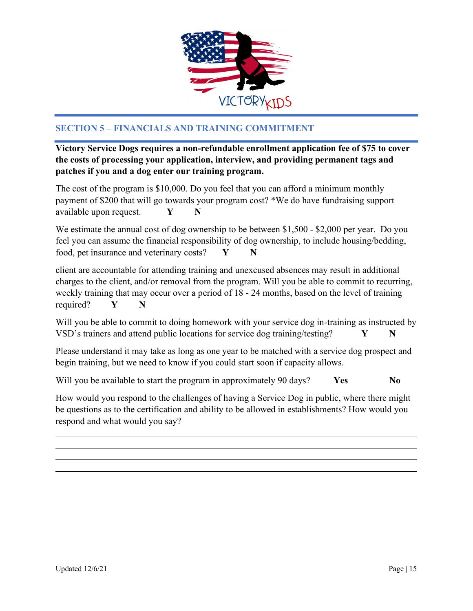

## SECTION 5 – FINANCIALS AND TRAINING COMMITMENT

Victory Service Dogs requires a non-refundable enrollment application fee of \$75 to cover the costs of processing your application, interview, and providing permanent tags and patches if you and a dog enter our training program.

The cost of the program is \$10,000. Do you feel that you can afford a minimum monthly payment of \$200 that will go towards your program cost? \*We do have fundraising support available upon request.  $Y \t N$ 

We estimate the annual cost of dog ownership to be between \$1,500 - \$2,000 per year. Do you feel you can assume the financial responsibility of dog ownership, to include housing/bedding, food, pet insurance and veterinary costs?  $Y \t N$ 

client are accountable for attending training and unexcused absences may result in additional charges to the client, and/or removal from the program. Will you be able to commit to recurring, weekly training that may occur over a period of 18 - 24 months, based on the level of training required? Y N

Will you be able to commit to doing homework with your service dog in-training as instructed by VSD's trainers and attend public locations for service dog training/testing?  $Y \tN$ 

Please understand it may take as long as one year to be matched with a service dog prospect and begin training, but we need to know if you could start soon if capacity allows.

Will you be available to start the program in approximately 90 days?  $Yes$  No

How would you respond to the challenges of having a Service Dog in public, where there might be questions as to the certification and ability to be allowed in establishments? How would you respond and what would you say?

l

 $\overline{\phantom{a}}$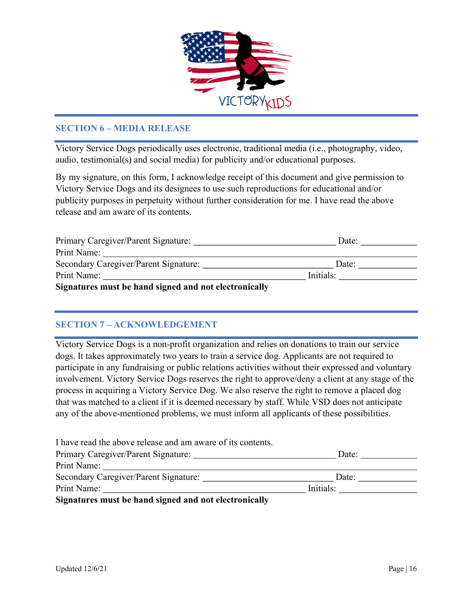

### SECTION 6 – MEDIA RELEASE

Victory Service Dogs periodically uses electronic, traditional media (i.e., photography, video, audio, testimonial(s) and social media) for publicity and/or educational purposes.

By my signature, on this form, I acknowledge receipt of this document and give permission to Victory Service Dogs and its designees to use such reproductions for educational and/or publicity purposes in perpetuity without further consideration for me. I have read the above release and am aware of its contents.

| Primary Caregiver/Parent Signature:                   | Date:     |
|-------------------------------------------------------|-----------|
| Print Name:                                           |           |
| Secondary Caregiver/Parent Signature:                 | Date:     |
| Print Name:                                           | Initials: |
| Signatures must be hand signed and not electronically |           |

## SECTION 7 – ACKNOWLEDGEMENT

Victory Service Dogs is a non-profit organization and relies on donations to train our service dogs. It takes approximately two years to train a service dog. Applicants are not required to participate in any fundraising or public relations activities without their expressed and voluntary involvement. Victory Service Dogs reserves the right to approve/deny a client at any stage of the process in acquiring a Victory Service Dog. We also reserve the right to remove a placed dog that was matched to a client if it is deemed necessary by staff. While VSD does not anticipate any of the above-mentioned problems, we must inform all applicants of these possibilities.

| I have read the above release and am aware of its contents. |           |       |
|-------------------------------------------------------------|-----------|-------|
| Primary Caregiver/Parent Signature:                         |           | Date: |
| Print Name:                                                 |           |       |
| Secondary Caregiver/Parent Signature:                       |           | Date: |
| Print Name:                                                 | Initials: |       |
| Stanatures must be hand stanad and not cleaturatedly        |           |       |

Signatures must be hand signed and not electronically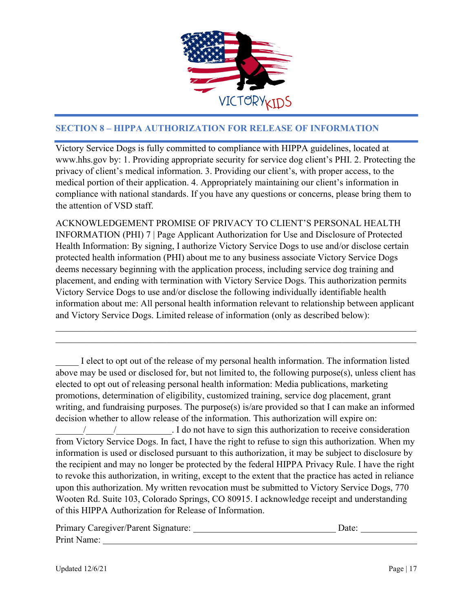

## SECTION 8 – HIPPA AUTHORIZATION FOR RELEASE OF INFORMATION

Victory Service Dogs is fully committed to compliance with HIPPA guidelines, located at www.hhs.gov by: 1. Providing appropriate security for service dog client's PHI. 2. Protecting the privacy of client's medical information. 3. Providing our client's, with proper access, to the medical portion of their application. 4. Appropriately maintaining our client's information in compliance with national standards. If you have any questions or concerns, please bring them to the attention of VSD staff.

ACKNOWLEDGEMENT PROMISE OF PRIVACY TO CLIENT'S PERSONAL HEALTH INFORMATION (PHI) 7 | Page Applicant Authorization for Use and Disclosure of Protected Health Information: By signing, I authorize Victory Service Dogs to use and/or disclose certain protected health information (PHI) about me to any business associate Victory Service Dogs deems necessary beginning with the application process, including service dog training and placement, and ending with termination with Victory Service Dogs. This authorization permits Victory Service Dogs to use and/or disclose the following individually identifiable health information about me: All personal health information relevant to relationship between applicant and Victory Service Dogs. Limited release of information (only as described below):

I elect to opt out of the release of my personal health information. The information listed above may be used or disclosed for, but not limited to, the following purpose(s), unless client has elected to opt out of releasing personal health information: Media publications, marketing promotions, determination of eligibility, customized training, service dog placement, grant writing, and fundraising purposes. The purpose(s) is/are provided so that I can make an informed decision whether to allow release of the information. This authorization will expire on: \_\_\_\_\_\_/\_\_\_\_\_\_/\_\_\_\_\_\_\_\_\_\_\_\_. I do not have to sign this authorization to receive consideration from Victory Service Dogs. In fact, I have the right to refuse to sign this authorization. When my information is used or disclosed pursuant to this authorization, it may be subject to disclosure by the recipient and may no longer be protected by the federal HIPPA Privacy Rule. I have the right to revoke this authorization, in writing, except to the extent that the practice has acted in reliance upon this authorization. My written revocation must be submitted to Victory Service Dogs, 770 Wooten Rd. Suite 103, Colorado Springs, CO 80915. I acknowledge receipt and understanding of this HIPPA Authorization for Release of Information.

| Primary Caregiver/Parent Signature: | Jate: |  |
|-------------------------------------|-------|--|
| Print Name:                         |       |  |